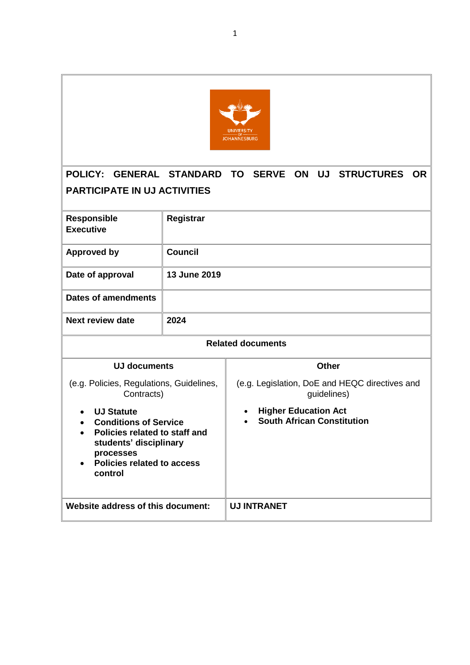

# **POLICY: GENERAL STANDARD TO SERVE ON UJ STRUCTURES OR PARTICIPATE IN UJ ACTIVITIES**

| <b>Responsible</b><br><b>Executive</b>                                                                                                                                          | Registrar    |                                                                               |  |  |
|---------------------------------------------------------------------------------------------------------------------------------------------------------------------------------|--------------|-------------------------------------------------------------------------------|--|--|
| <b>Approved by</b>                                                                                                                                                              | Council      |                                                                               |  |  |
| Date of approval                                                                                                                                                                | 13 June 2019 |                                                                               |  |  |
| <b>Dates of amendments</b>                                                                                                                                                      |              |                                                                               |  |  |
| Next review date                                                                                                                                                                | 2024         |                                                                               |  |  |
| <b>Related documents</b>                                                                                                                                                        |              |                                                                               |  |  |
| <b>UJ documents</b>                                                                                                                                                             |              | <b>Other</b>                                                                  |  |  |
| (e.g. Policies, Regulations, Guidelines,<br>Contracts)                                                                                                                          |              | (e.g. Legislation, DoE and HEQC directives and<br>guidelines)                 |  |  |
| <b>UJ Statute</b><br>$\bullet$<br><b>Conditions of Service</b><br>Policies related to staff and<br>students' disciplinary<br>processes<br>Policies related to access<br>control |              | <b>Higher Education Act</b><br>$\bullet$<br><b>South African Constitution</b> |  |  |
| Website address of this document:                                                                                                                                               |              | <b>UJ INTRANET</b>                                                            |  |  |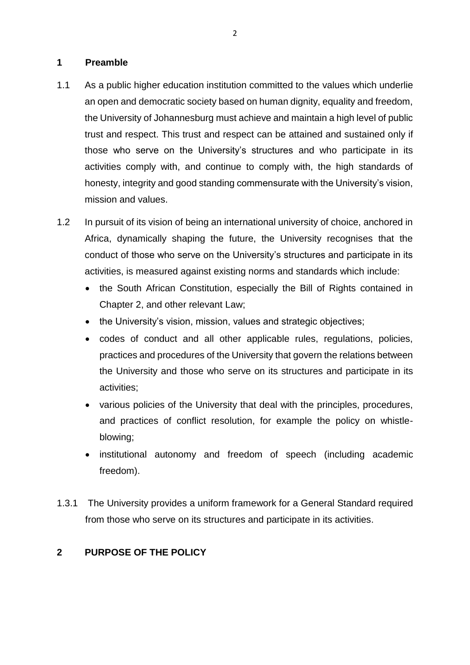#### **1 Preamble**

- 1.1 As a public higher education institution committed to the values which underlie an open and democratic society based on human dignity, equality and freedom, the University of Johannesburg must achieve and maintain a high level of public trust and respect. This trust and respect can be attained and sustained only if those who serve on the University's structures and who participate in its activities comply with, and continue to comply with, the high standards of honesty, integrity and good standing commensurate with the University's vision, mission and values.
- 1.2 In pursuit of its vision of being an international university of choice, anchored in Africa, dynamically shaping the future, the University recognises that the conduct of those who serve on the University's structures and participate in its activities, is measured against existing norms and standards which include:
	- the South African Constitution, especially the Bill of Rights contained in Chapter 2, and other relevant Law;
	- the University's vision, mission, values and strategic objectives;
	- codes of conduct and all other applicable rules, regulations, policies, practices and procedures of the University that govern the relations between the University and those who serve on its structures and participate in its activities;
	- various policies of the University that deal with the principles, procedures, and practices of conflict resolution, for example the policy on whistleblowing;
	- institutional autonomy and freedom of speech (including academic freedom).
- 1.3.1 The University provides a uniform framework for a General Standard required from those who serve on its structures and participate in its activities.

## **2 PURPOSE OF THE POLICY**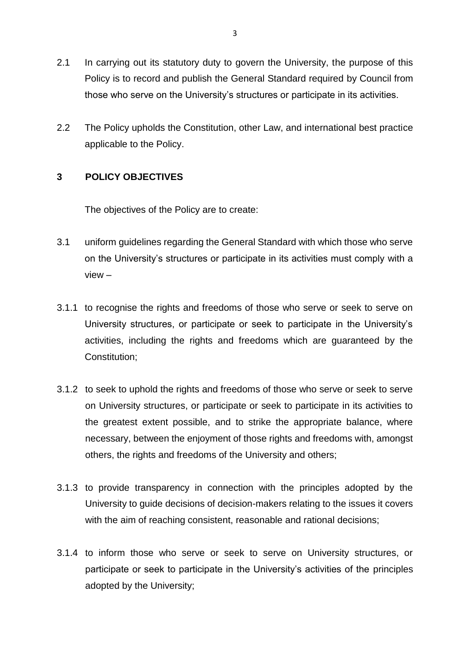- 2.1 In carrying out its statutory duty to govern the University, the purpose of this Policy is to record and publish the General Standard required by Council from those who serve on the University's structures or participate in its activities.
- 2.2 The Policy upholds the Constitution, other Law, and international best practice applicable to the Policy.

#### **3 POLICY OBJECTIVES**

The objectives of the Policy are to create:

- 3.1 uniform guidelines regarding the General Standard with which those who serve on the University's structures or participate in its activities must comply with a view –
- 3.1.1 to recognise the rights and freedoms of those who serve or seek to serve on University structures, or participate or seek to participate in the University's activities, including the rights and freedoms which are guaranteed by the Constitution;
- 3.1.2 to seek to uphold the rights and freedoms of those who serve or seek to serve on University structures, or participate or seek to participate in its activities to the greatest extent possible, and to strike the appropriate balance, where necessary, between the enjoyment of those rights and freedoms with, amongst others, the rights and freedoms of the University and others;
- 3.1.3 to provide transparency in connection with the principles adopted by the University to guide decisions of decision-makers relating to the issues it covers with the aim of reaching consistent, reasonable and rational decisions;
- 3.1.4 to inform those who serve or seek to serve on University structures, or participate or seek to participate in the University's activities of the principles adopted by the University;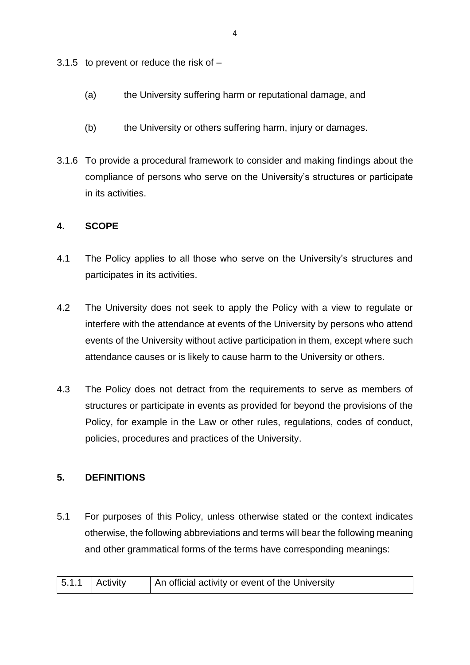3.1.5 to prevent or reduce the risk of  $-$ 

- (a) the University suffering harm or reputational damage, and
- (b) the University or others suffering harm, injury or damages.
- 3.1.6 To provide a procedural framework to consider and making findings about the compliance of persons who serve on the University's structures or participate in its activities.

#### **4. SCOPE**

- 4.1 The Policy applies to all those who serve on the University's structures and participates in its activities.
- 4.2 The University does not seek to apply the Policy with a view to regulate or interfere with the attendance at events of the University by persons who attend events of the University without active participation in them, except where such attendance causes or is likely to cause harm to the University or others.
- 4.3 The Policy does not detract from the requirements to serve as members of structures or participate in events as provided for beyond the provisions of the Policy, for example in the Law or other rules, regulations, codes of conduct, policies, procedures and practices of the University.

#### **5. DEFINITIONS**

5.1 For purposes of this Policy, unless otherwise stated or the context indicates otherwise, the following abbreviations and terms will bear the following meaning and other grammatical forms of the terms have corresponding meanings:

| $5.1.1$ Activity |  | An official activity or event of the University |
|------------------|--|-------------------------------------------------|
|------------------|--|-------------------------------------------------|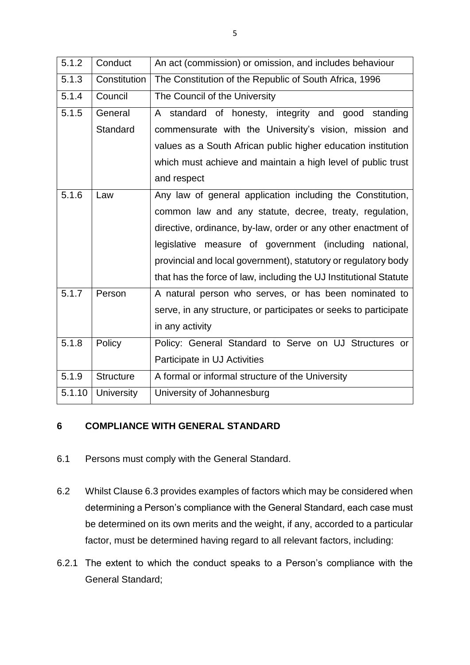| 5.1.2  | Conduct           | An act (commission) or omission, and includes behaviour           |  |  |
|--------|-------------------|-------------------------------------------------------------------|--|--|
| 5.1.3  | Constitution      | The Constitution of the Republic of South Africa, 1996            |  |  |
| 5.1.4  | Council           | The Council of the University                                     |  |  |
| 5.1.5  | General           | A standard of honesty, integrity and good standing                |  |  |
|        | Standard          | commensurate with the University's vision, mission and            |  |  |
|        |                   | values as a South African public higher education institution     |  |  |
|        |                   | which must achieve and maintain a high level of public trust      |  |  |
|        |                   | and respect                                                       |  |  |
| 5.1.6  | Law               | Any law of general application including the Constitution,        |  |  |
|        |                   | common law and any statute, decree, treaty, regulation,           |  |  |
|        |                   | directive, ordinance, by-law, order or any other enactment of     |  |  |
|        |                   | legislative measure of government (including national,            |  |  |
|        |                   | provincial and local government), statutory or regulatory body    |  |  |
|        |                   | that has the force of law, including the UJ Institutional Statute |  |  |
| 5.1.7  | Person            | A natural person who serves, or has been nominated to             |  |  |
|        |                   | serve, in any structure, or participates or seeks to participate  |  |  |
|        |                   | in any activity                                                   |  |  |
| 5.1.8  | Policy            | Policy: General Standard to Serve on UJ Structures or             |  |  |
|        |                   | Participate in UJ Activities                                      |  |  |
| 5.1.9  | <b>Structure</b>  | A formal or informal structure of the University                  |  |  |
| 5.1.10 | <b>University</b> | University of Johannesburg                                        |  |  |

### **6 COMPLIANCE WITH GENERAL STANDARD**

- 6.1 Persons must comply with the General Standard.
- 6.2 Whilst Clause 6.3 provides examples of factors which may be considered when determining a Person's compliance with the General Standard, each case must be determined on its own merits and the weight, if any, accorded to a particular factor, must be determined having regard to all relevant factors, including:
- 6.2.1 The extent to which the conduct speaks to a Person's compliance with the General Standard;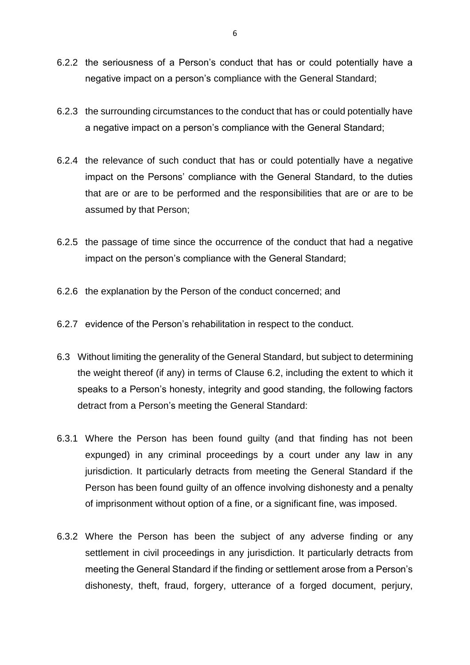- 6.2.2 the seriousness of a Person's conduct that has or could potentially have a negative impact on a person's compliance with the General Standard;
- 6.2.3 the surrounding circumstances to the conduct that has or could potentially have a negative impact on a person's compliance with the General Standard;
- 6.2.4 the relevance of such conduct that has or could potentially have a negative impact on the Persons' compliance with the General Standard, to the duties that are or are to be performed and the responsibilities that are or are to be assumed by that Person;
- 6.2.5 the passage of time since the occurrence of the conduct that had a negative impact on the person's compliance with the General Standard;
- 6.2.6 the explanation by the Person of the conduct concerned; and
- 6.2.7 evidence of the Person's rehabilitation in respect to the conduct.
- 6.3 Without limiting the generality of the General Standard, but subject to determining the weight thereof (if any) in terms of Clause 6.2, including the extent to which it speaks to a Person's honesty, integrity and good standing, the following factors detract from a Person's meeting the General Standard:
- 6.3.1 Where the Person has been found guilty (and that finding has not been expunged) in any criminal proceedings by a court under any law in any jurisdiction. It particularly detracts from meeting the General Standard if the Person has been found guilty of an offence involving dishonesty and a penalty of imprisonment without option of a fine, or a significant fine, was imposed.
- 6.3.2 Where the Person has been the subject of any adverse finding or any settlement in civil proceedings in any jurisdiction. It particularly detracts from meeting the General Standard if the finding or settlement arose from a Person's dishonesty, theft, fraud, forgery, utterance of a forged document, perjury,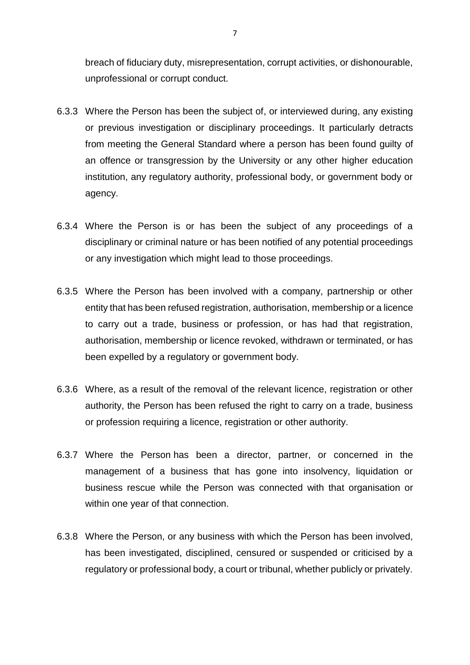breach of fiduciary duty, misrepresentation, corrupt activities, or dishonourable, unprofessional or corrupt conduct.

- 6.3.3 Where the Person has been the subject of, or interviewed during, any existing or previous investigation or disciplinary proceedings. It particularly detracts from meeting the General Standard where a person has been found guilty of an offence or transgression by the University or any other higher education institution, any regulatory authority, professional body, or government body or agency.
- 6.3.4 Where the Person is or has been the subject of any proceedings of a disciplinary or criminal nature or has been notified of any potential proceedings or any investigation which might lead to those proceedings.
- 6.3.5 Where the Person has been involved with a company, partnership or other entity that has been refused registration, authorisation, membership or a licence to carry out a trade, business or profession, or has had that registration, authorisation, membership or licence revoked, withdrawn or terminated, or has been expelled by a regulatory or government body.
- 6.3.6 Where, as a result of the removal of the relevant licence, registration or other authority, the Person has been refused the right to carry on a trade, business or profession requiring a licence, registration or other authority.
- 6.3.7 Where the Person has been a director, partner, or concerned in the management of a business that has gone into insolvency, liquidation or business rescue while the Person was connected with that organisation or within one year of that connection.
- 6.3.8 Where the Person, or any business with which the Person has been involved, has been investigated, disciplined, censured or suspended or criticised by a regulatory or professional body, a court or tribunal, whether publicly or privately.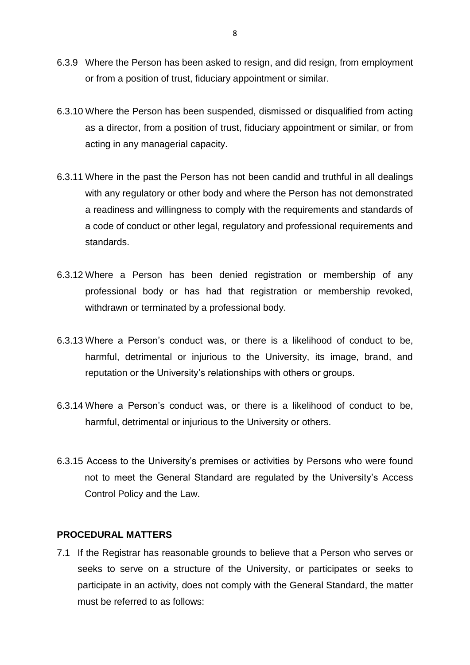- 6.3.9 Where the Person has been asked to resign, and did resign, from employment or from a position of trust, fiduciary appointment or similar.
- 6.3.10 Where the Person has been suspended, dismissed or disqualified from acting as a director, from a position of trust, fiduciary appointment or similar, or from acting in any managerial capacity.
- 6.3.11 Where in the past the Person has not been candid and truthful in all dealings with any regulatory or other body and where the Person has not demonstrated a readiness and willingness to comply with the requirements and standards of a code of conduct or other legal, regulatory and professional requirements and standards.
- 6.3.12 Where a Person has been denied registration or membership of any professional body or has had that registration or membership revoked, withdrawn or terminated by a professional body.
- 6.3.13 Where a Person's conduct was, or there is a likelihood of conduct to be, harmful, detrimental or injurious to the University, its image, brand, and reputation or the University's relationships with others or groups.
- 6.3.14 Where a Person's conduct was, or there is a likelihood of conduct to be, harmful, detrimental or injurious to the University or others.
- 6.3.15 Access to the University's premises or activities by Persons who were found not to meet the General Standard are regulated by the University's Access Control Policy and the Law.

#### **PROCEDURAL MATTERS**

7.1 If the Registrar has reasonable grounds to believe that a Person who serves or seeks to serve on a structure of the University, or participates or seeks to participate in an activity, does not comply with the General Standard, the matter must be referred to as follows: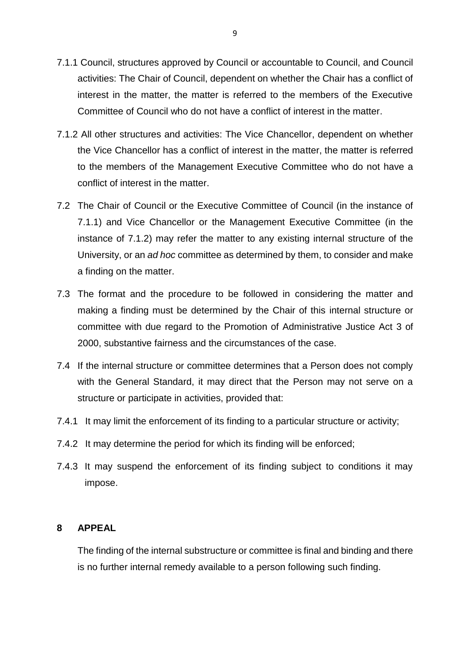- 7.1.1 Council, structures approved by Council or accountable to Council, and Council activities: The Chair of Council, dependent on whether the Chair has a conflict of interest in the matter, the matter is referred to the members of the Executive Committee of Council who do not have a conflict of interest in the matter.
- 7.1.2 All other structures and activities: The Vice Chancellor, dependent on whether the Vice Chancellor has a conflict of interest in the matter, the matter is referred to the members of the Management Executive Committee who do not have a conflict of interest in the matter.
- 7.2 The Chair of Council or the Executive Committee of Council (in the instance of 7.1.1) and Vice Chancellor or the Management Executive Committee (in the instance of 7.1.2) may refer the matter to any existing internal structure of the University, or an *ad hoc* committee as determined by them, to consider and make a finding on the matter.
- 7.3 The format and the procedure to be followed in considering the matter and making a finding must be determined by the Chair of this internal structure or committee with due regard to the Promotion of Administrative Justice Act 3 of 2000, substantive fairness and the circumstances of the case.
- 7.4 If the internal structure or committee determines that a Person does not comply with the General Standard, it may direct that the Person may not serve on a structure or participate in activities, provided that:
- 7.4.1 It may limit the enforcement of its finding to a particular structure or activity;
- 7.4.2 It may determine the period for which its finding will be enforced;
- 7.4.3 It may suspend the enforcement of its finding subject to conditions it may impose.

#### **8 APPEAL**

The finding of the internal substructure or committee is final and binding and there is no further internal remedy available to a person following such finding.